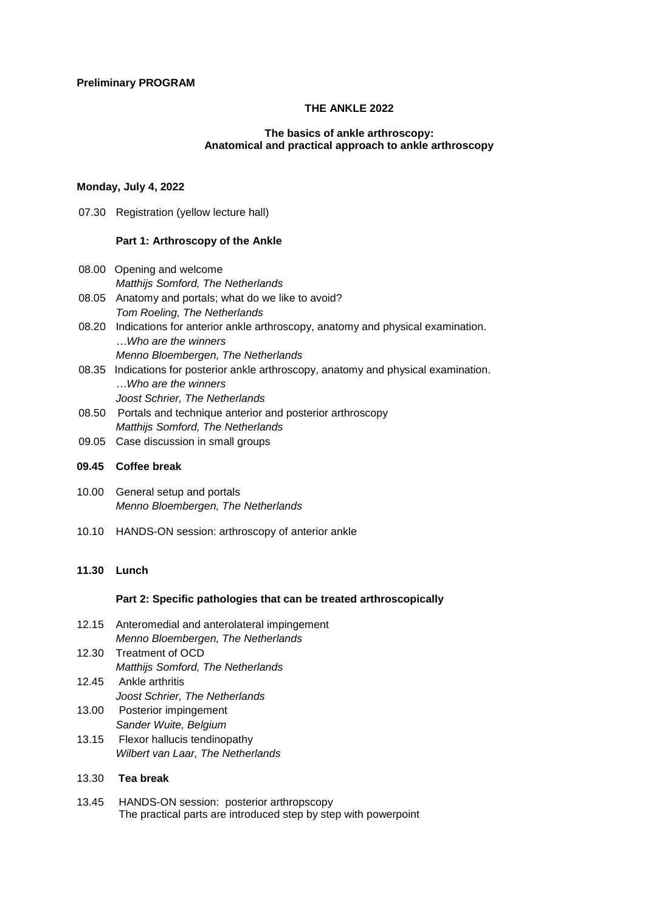## **THE ANKLE 2022**

#### **The basics of ankle arthroscopy: Anatomical and practical approach to ankle arthroscopy**

# **Monday, July 4, 2022**

07.30 Registration (yellow lecture hall)

## **Part 1: Arthroscopy of the Ankle**

- 08.00 Opening and welcome *Matthijs Somford, The Netherlands*
- 08.05 Anatomy and portals; what do we like to avoid? *Tom Roeling, The Netherlands*
- 08.20 Indications for anterior ankle arthroscopy, anatomy and physical examination. *…Who are the winners Menno Bloembergen, The Netherlands*
- 08.35 Indications for posterior ankle arthroscopy, anatomy and physical examination. *…Who are the winners Joost Schrier, The Netherlands*
- 08.50 Portals and technique anterior and posterior arthroscopy *Matthijs Somford, The Netherlands*
- 09.05 Case discussion in small groups

## **09.45 Coffee break**

- 10.00 General setup and portals *Menno Bloembergen, The Netherlands*
- 10.10 HANDS-ON session: arthroscopy of anterior ankle

# **11.30 Lunch**

## **Part 2: Specific pathologies that can be treated arthroscopically**

- 12.15 Anteromedial and anterolateral impingement *Menno Bloembergen, The Netherlands*
- 12.30 Treatment of OCD *Matthijs Somford, The Netherlands* 12.45 Ankle arthritis
	- *Joost Schrier, The Netherlands*
- 13.00 Posterior impingement *Sander Wuite, Belgium* 13.15 Flexor hallucis tendinopathy
	- *Wilbert van Laar, The Netherlands*

# 13.30 **Tea break**

13.45 HANDS-ON session: posterior arthropscopy The practical parts are introduced step by step with powerpoint